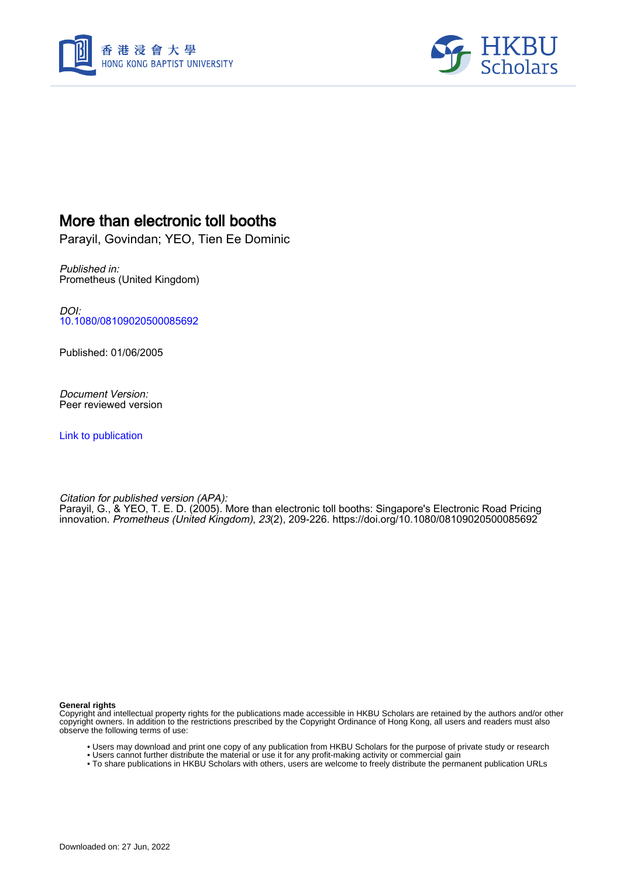



# More than electronic toll booths

Parayil, Govindan; YEO, Tien Ee Dominic

Published in: Prometheus (United Kingdom)

DOI: [10.1080/08109020500085692](https://doi.org/10.1080/08109020500085692)

Published: 01/06/2005

Document Version: Peer reviewed version

[Link to publication](https://scholars.hkbu.edu.hk/en/publications/37b69c30-bbd8-447b-9cee-7302fb60b32d)

Citation for published version (APA): Parayil, G., & YEO, T. E. D. (2005). More than electronic toll booths: Singapore's Electronic Road Pricing innovation. Prometheus (United Kingdom), 23(2), 209-226.<https://doi.org/10.1080/08109020500085692>

**General rights**

Copyright and intellectual property rights for the publications made accessible in HKBU Scholars are retained by the authors and/or other copyright owners. In addition to the restrictions prescribed by the Copyright Ordinance of Hong Kong, all users and readers must also observe the following terms of use:

- Users may download and print one copy of any publication from HKBU Scholars for the purpose of private study or research
- Users cannot further distribute the material or use it for any profit-making activity or commercial gain
- To share publications in HKBU Scholars with others, users are welcome to freely distribute the permanent publication URLs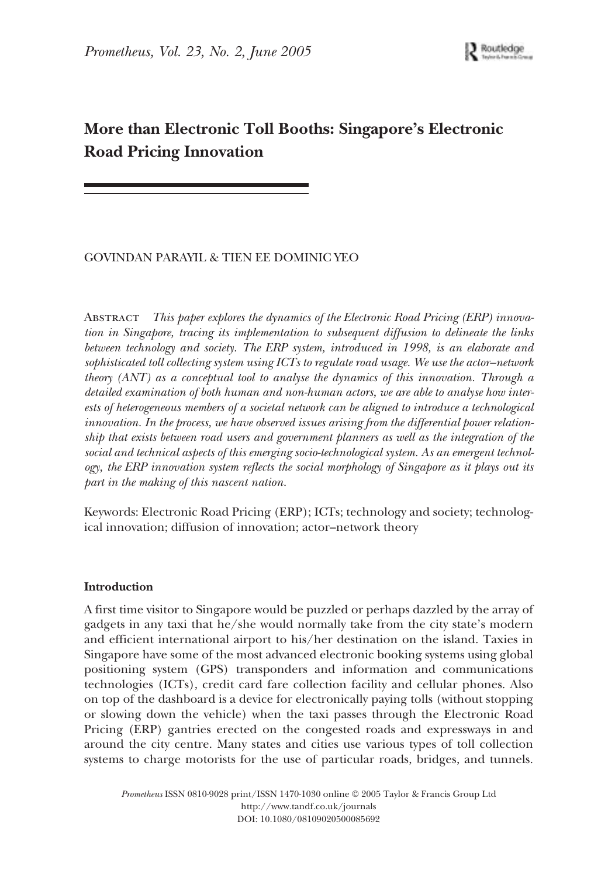# **More than Electronic Toll Booths: Singapore's Electronic Road Pricing Innovation**

## GOVINDAN PARAYIL & TIEN EE DOMINIC YEO

Abstract *This paper explores the dynamics of the Electronic Road Pricing (ERP) innovation in Singapore, tracing its implementation to subsequent diffusion to delineate the links between technology and society. The ERP system, introduced in 1998, is an elaborate and sophisticated toll collecting system using ICTs to regulate road usage. We use the actor–network theory (ANT) as a conceptual tool to analyse the dynamics of this innovation. Through a detailed examination of both human and non-human actors, we are able to analyse how interests of heterogeneous members of a societal network can be aligned to introduce a technological innovation. In the process, we have observed issues arising from the differential power relationship that exists between road users and government planners as well as the integration of the social and technical aspects of this emerging socio-technological system. As an emergent technology, the ERP innovation system reflects the social morphology of Singapore as it plays out its part in the making of this nascent nation.*

Keywords: Electronic Road Pricing (ERP); ICTs; technology and society; technological innovation; diffusion of innovation; actor–network theory

#### **Introduction**

A first time visitor to Singapore would be puzzled or perhaps dazzled by the array of gadgets in any taxi that he/she would normally take from the city state's modern and efficient international airport to his/her destination on the island. Taxies in Singapore have some of the most advanced electronic booking systems using global positioning system (GPS) transponders and information and communications technologies (ICTs), credit card fare collection facility and cellular phones. Also on top of the dashboard is a device for electronically paying tolls (without stopping or slowing down the vehicle) when the taxi passes through the Electronic Road Pricing (ERP) gantries erected on the congested roads and expressways in and around the city centre. Many states and cities use various types of toll collection systems to charge motorists for the use of particular roads, bridges, and tunnels.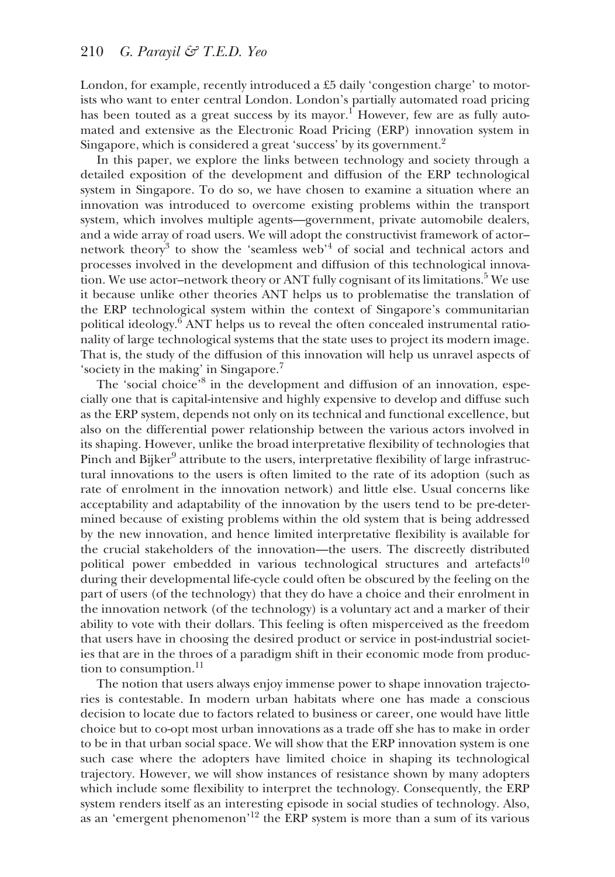London, for example, recently introduced a £5 daily 'congestion charge' to motorists who want to enter central London. London's partially automated road pricing has been touted as a great success by its mayor.<sup>1</sup> However, few are as fully automated and extensive as the Electronic Road Pricing (ERP) innovation system in Singapore, which is considered a great 'success' by its government.2

In this paper, we explore the links between technology and society through a detailed exposition of the development and diffusion of the ERP technological system in Singapore. To do so, we have chosen to examine a situation where an innovation was introduced to overcome existing problems within the transport system, which involves multiple agents—government, private automobile dealers, and a wide array of road users. We will adopt the constructivist framework of actor– network theory3 to show the 'seamless web'4 of social and technical actors and processes involved in the development and diffusion of this technological innovation. We use actor–network theory or ANT fully cognisant of its limitations.<sup>5</sup> We use it because unlike other theories ANT helps us to problematise the translation of the ERP technological system within the context of Singapore's communitarian political ideology. $6$  ANT helps us to reveal the often concealed instrumental rationality of large technological systems that the state uses to project its modern image. That is, the study of the diffusion of this innovation will help us unravel aspects of 'society in the making' in Singapore.7

The 'social choice'<sup>8</sup> in the development and diffusion of an innovation, especially one that is capital-intensive and highly expensive to develop and diffuse such as the ERP system, depends not only on its technical and functional excellence, but also on the differential power relationship between the various actors involved in its shaping. However, unlike the broad interpretative flexibility of technologies that Pinch and Bijker $^9$  attribute to the users, interpretative flexibility of large infrastructural innovations to the users is often limited to the rate of its adoption (such as rate of enrolment in the innovation network) and little else. Usual concerns like acceptability and adaptability of the innovation by the users tend to be pre-determined because of existing problems within the old system that is being addressed by the new innovation, and hence limited interpretative flexibility is available for the crucial stakeholders of the innovation—the users. The discreetly distributed political power embedded in various technological structures and artefacts<sup>10</sup> during their developmental life-cycle could often be obscured by the feeling on the part of users (of the technology) that they do have a choice and their enrolment in the innovation network (of the technology) is a voluntary act and a marker of their ability to vote with their dollars. This feeling is often misperceived as the freedom that users have in choosing the desired product or service in post-industrial societies that are in the throes of a paradigm shift in their economic mode from production to consumption. $^{11}$ 

The notion that users always enjoy immense power to shape innovation trajectories is contestable. In modern urban habitats where one has made a conscious decision to locate due to factors related to business or career, one would have little choice but to co-opt most urban innovations as a trade off she has to make in order to be in that urban social space. We will show that the ERP innovation system is one such case where the adopters have limited choice in shaping its technological trajectory. However, we will show instances of resistance shown by many adopters which include some flexibility to interpret the technology. Consequently, the ERP system renders itself as an interesting episode in social studies of technology. Also, as an 'emergent phenomenon'<sup>12</sup> the ERP system is more than a sum of its various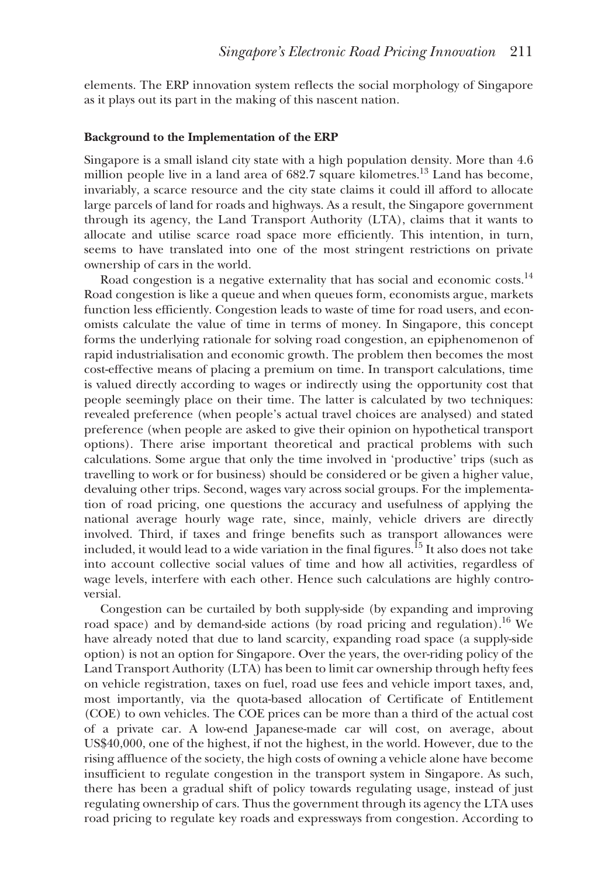elements. The ERP innovation system reflects the social morphology of Singapore as it plays out its part in the making of this nascent nation.

#### **Background to the Implementation of the ERP**

Singapore is a small island city state with a high population density. More than 4.6 million people live in a land area of 682.7 square kilometres.<sup>13</sup> Land has become, invariably, a scarce resource and the city state claims it could ill afford to allocate large parcels of land for roads and highways. As a result, the Singapore government through its agency, the Land Transport Authority (LTA), claims that it wants to allocate and utilise scarce road space more efficiently. This intention, in turn, seems to have translated into one of the most stringent restrictions on private ownership of cars in the world.

Road congestion is a negative externality that has social and economic costs.<sup>14</sup> Road congestion is like a queue and when queues form, economists argue, markets function less efficiently. Congestion leads to waste of time for road users, and economists calculate the value of time in terms of money. In Singapore, this concept forms the underlying rationale for solving road congestion, an epiphenomenon of rapid industrialisation and economic growth. The problem then becomes the most cost-effective means of placing a premium on time. In transport calculations, time is valued directly according to wages or indirectly using the opportunity cost that people seemingly place on their time. The latter is calculated by two techniques: revealed preference (when people's actual travel choices are analysed) and stated preference (when people are asked to give their opinion on hypothetical transport options). There arise important theoretical and practical problems with such calculations. Some argue that only the time involved in 'productive' trips (such as travelling to work or for business) should be considered or be given a higher value, devaluing other trips. Second, wages vary across social groups. For the implementation of road pricing, one questions the accuracy and usefulness of applying the national average hourly wage rate, since, mainly, vehicle drivers are directly involved. Third, if taxes and fringe benefits such as transport allowances were included, it would lead to a wide variation in the final figures.<sup>15</sup> It also does not take into account collective social values of time and how all activities, regardless of wage levels, interfere with each other. Hence such calculations are highly controversial.

Congestion can be curtailed by both supply-side (by expanding and improving road space) and by demand-side actions (by road pricing and regulation).<sup>16</sup> We have already noted that due to land scarcity, expanding road space (a supply-side option) is not an option for Singapore. Over the years, the over-riding policy of the Land Transport Authority (LTA) has been to limit car ownership through hefty fees on vehicle registration, taxes on fuel, road use fees and vehicle import taxes, and, most importantly, via the quota-based allocation of Certificate of Entitlement (COE) to own vehicles. The COE prices can be more than a third of the actual cost of a private car. A low-end Japanese-made car will cost, on average, about US\$40,000, one of the highest, if not the highest, in the world. However, due to the rising affluence of the society, the high costs of owning a vehicle alone have become insufficient to regulate congestion in the transport system in Singapore. As such, there has been a gradual shift of policy towards regulating usage, instead of just regulating ownership of cars. Thus the government through its agency the LTA uses road pricing to regulate key roads and expressways from congestion. According to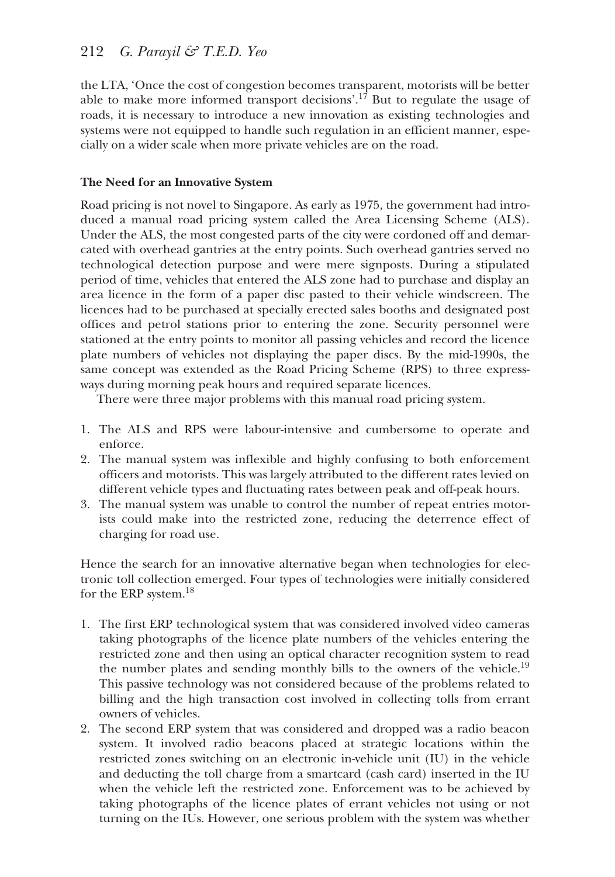the LTA, 'Once the cost of congestion becomes transparent, motorists will be better able to make more informed transport decisions'.<sup>17</sup> But to regulate the usage of roads, it is necessary to introduce a new innovation as existing technologies and systems were not equipped to handle such regulation in an efficient manner, especially on a wider scale when more private vehicles are on the road.

# **The Need for an Innovative System**

Road pricing is not novel to Singapore. As early as 1975, the government had introduced a manual road pricing system called the Area Licensing Scheme (ALS). Under the ALS, the most congested parts of the city were cordoned off and demarcated with overhead gantries at the entry points. Such overhead gantries served no technological detection purpose and were mere signposts. During a stipulated period of time, vehicles that entered the ALS zone had to purchase and display an area licence in the form of a paper disc pasted to their vehicle windscreen. The licences had to be purchased at specially erected sales booths and designated post offices and petrol stations prior to entering the zone. Security personnel were stationed at the entry points to monitor all passing vehicles and record the licence plate numbers of vehicles not displaying the paper discs. By the mid-1990s, the same concept was extended as the Road Pricing Scheme (RPS) to three expressways during morning peak hours and required separate licences.

There were three major problems with this manual road pricing system.

- 1. The ALS and RPS were labour-intensive and cumbersome to operate and enforce.
- 2. The manual system was inflexible and highly confusing to both enforcement officers and motorists. This was largely attributed to the different rates levied on different vehicle types and fluctuating rates between peak and off-peak hours.
- 3. The manual system was unable to control the number of repeat entries motorists could make into the restricted zone, reducing the deterrence effect of charging for road use.

Hence the search for an innovative alternative began when technologies for electronic toll collection emerged. Four types of technologies were initially considered for the ERP system.<sup>18</sup>

- 1. The first ERP technological system that was considered involved video cameras taking photographs of the licence plate numbers of the vehicles entering the restricted zone and then using an optical character recognition system to read the number plates and sending monthly bills to the owners of the vehicle.<sup>19</sup> This passive technology was not considered because of the problems related to billing and the high transaction cost involved in collecting tolls from errant owners of vehicles.
- 2. The second ERP system that was considered and dropped was a radio beacon system. It involved radio beacons placed at strategic locations within the restricted zones switching on an electronic in-vehicle unit (IU) in the vehicle and deducting the toll charge from a smartcard (cash card) inserted in the IU when the vehicle left the restricted zone. Enforcement was to be achieved by taking photographs of the licence plates of errant vehicles not using or not turning on the IUs. However, one serious problem with the system was whether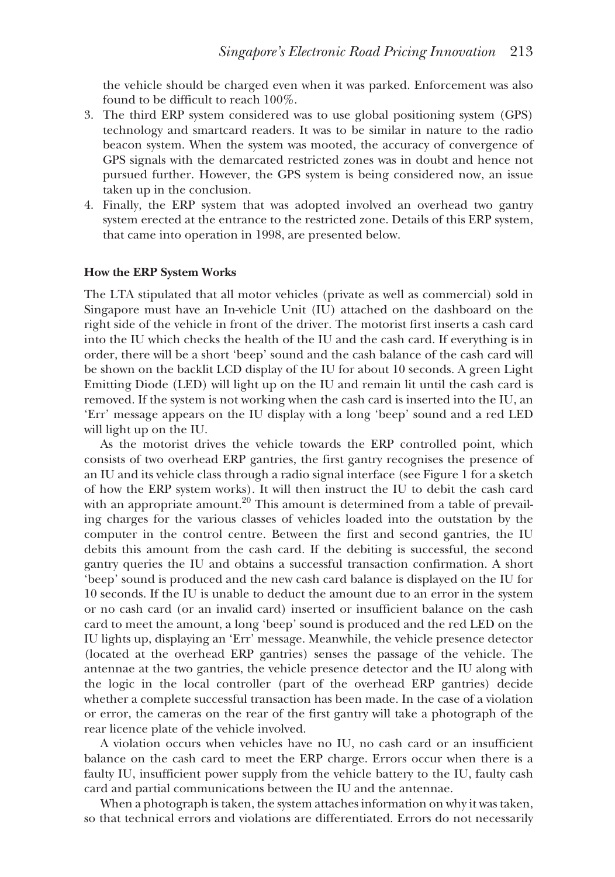the vehicle should be charged even when it was parked. Enforcement was also found to be difficult to reach 100%.

- 3. The third ERP system considered was to use global positioning system (GPS) technology and smartcard readers. It was to be similar in nature to the radio beacon system. When the system was mooted, the accuracy of convergence of GPS signals with the demarcated restricted zones was in doubt and hence not pursued further. However, the GPS system is being considered now, an issue taken up in the conclusion.
- 4. Finally, the ERP system that was adopted involved an overhead two gantry system erected at the entrance to the restricted zone. Details of this ERP system, that came into operation in 1998, are presented below.

#### **How the ERP System Works**

The LTA stipulated that all motor vehicles (private as well as commercial) sold in Singapore must have an In-vehicle Unit (IU) attached on the dashboard on the right side of the vehicle in front of the driver. The motorist first inserts a cash card into the IU which checks the health of the IU and the cash card. If everything is in order, there will be a short 'beep' sound and the cash balance of the cash card will be shown on the backlit LCD display of the IU for about 10 seconds. A green Light Emitting Diode (LED) will light up on the IU and remain lit until the cash card is removed. If the system is not working when the cash card is inserted into the IU, an 'Err' message appears on the IU display with a long 'beep' sound and a red LED will light up on the IU.

As the motorist drives the vehicle towards the ERP controlled point, which consists of two overhead ERP gantries, the first gantry recognises the presence of an IU and its vehicle class through a radio signal interface (see Figure 1 for a sketch of how the ERP system works). It will then instruct the IU to debit the cash card with an appropriate amount.<sup>20</sup> This amount is determined from a table of prevailing charges for the various classes of vehicles loaded into the outstation by the computer in the control centre. Between the first and second gantries, the IU debits this amount from the cash card. If the debiting is successful, the second gantry queries the IU and obtains a successful transaction confirmation. A short 'beep' sound is produced and the new cash card balance is displayed on the IU for 10 seconds. If the IU is unable to deduct the amount due to an error in the system or no cash card (or an invalid card) inserted or insufficient balance on the cash card to meet the amount, a long 'beep' sound is produced and the red LED on the IU lights up, displaying an 'Err' message. Meanwhile, the vehicle presence detector (located at the overhead ERP gantries) senses the passage of the vehicle. The antennae at the two gantries, the vehicle presence detector and the IU along with the logic in the local controller (part of the overhead ERP gantries) decide whether a complete successful transaction has been made. In the case of a violation or error, the cameras on the rear of the first gantry will take a photograph of the rear licence plate of the vehicle involved.

A violation occurs when vehicles have no IU, no cash card or an insufficient balance on the cash card to meet the ERP charge. Errors occur when there is a faulty IU, insufficient power supply from the vehicle battery to the IU, faulty cash card and partial communications between the IU and the antennae.

When a photograph is taken, the system attaches information on why it was taken, so that technical errors and violations are differentiated. Errors do not necessarily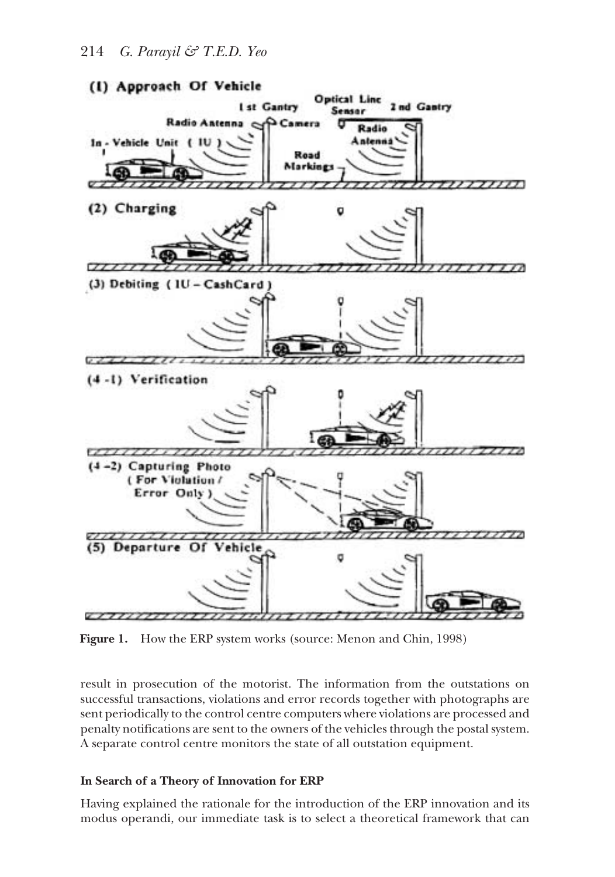

**Figure 1.** How the ERP system works (source: Menon and Chin, 1998)

result in prosecution of the motorist. The information from the outstations on successful transactions, violations and error records together with photographs are sent periodically to the control centre computers where violations are processed and penalty notifications are sent to the owners of the vehicles through the postal system. A separate control centre monitors the state of all outstation equipment.

# **In Search of a Theory of Innovation for ERP**

Having explained the rationale for the introduction of the ERP innovation and its modus operandi, our immediate task is to select a theoretical framework that can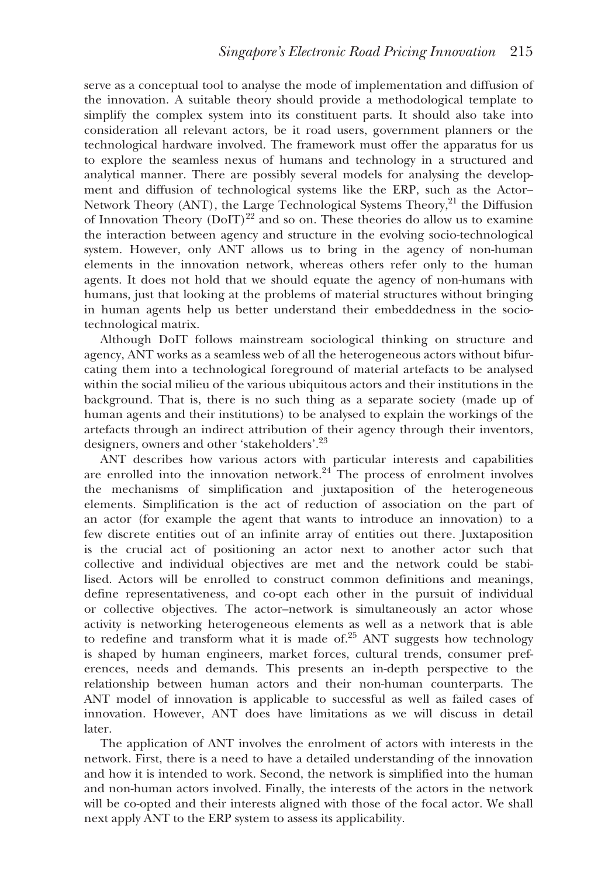serve as a conceptual tool to analyse the mode of implementation and diffusion of the innovation. A suitable theory should provide a methodological template to simplify the complex system into its constituent parts. It should also take into consideration all relevant actors, be it road users, government planners or the technological hardware involved. The framework must offer the apparatus for us to explore the seamless nexus of humans and technology in a structured and analytical manner. There are possibly several models for analysing the development and diffusion of technological systems like the ERP, such as the Actor– Network Theory (ANT), the Large Technological Systems Theory,  $21$  the Diffusion of Innovation Theory (DoIT)<sup>22</sup> and so on. These theories do allow us to examine the interaction between agency and structure in the evolving socio-technological system. However, only ANT allows us to bring in the agency of non-human elements in the innovation network, whereas others refer only to the human agents. It does not hold that we should equate the agency of non-humans with humans, just that looking at the problems of material structures without bringing in human agents help us better understand their embeddedness in the sociotechnological matrix.

Although DoIT follows mainstream sociological thinking on structure and agency, ANT works as a seamless web of all the heterogeneous actors without bifurcating them into a technological foreground of material artefacts to be analysed within the social milieu of the various ubiquitous actors and their institutions in the background. That is, there is no such thing as a separate society (made up of human agents and their institutions) to be analysed to explain the workings of the artefacts through an indirect attribution of their agency through their inventors, designers, owners and other 'stakeholders'.23

ANT describes how various actors with particular interests and capabilities are enrolled into the innovation network. $24^{4}$ The process of enrolment involves the mechanisms of simplification and juxtaposition of the heterogeneous elements. Simplification is the act of reduction of association on the part of an actor (for example the agent that wants to introduce an innovation) to a few discrete entities out of an infinite array of entities out there. Juxtaposition is the crucial act of positioning an actor next to another actor such that collective and individual objectives are met and the network could be stabilised. Actors will be enrolled to construct common definitions and meanings, define representativeness, and co-opt each other in the pursuit of individual or collective objectives. The actor–network is simultaneously an actor whose activity is networking heterogeneous elements as well as a network that is able to redefine and transform what it is made of.<sup>25</sup> ANT suggests how technology is shaped by human engineers, market forces, cultural trends, consumer preferences, needs and demands. This presents an in-depth perspective to the relationship between human actors and their non-human counterparts. The ANT model of innovation is applicable to successful as well as failed cases of innovation. However, ANT does have limitations as we will discuss in detail later.

The application of ANT involves the enrolment of actors with interests in the network. First, there is a need to have a detailed understanding of the innovation and how it is intended to work. Second, the network is simplified into the human and non-human actors involved. Finally, the interests of the actors in the network will be co-opted and their interests aligned with those of the focal actor. We shall next apply ANT to the ERP system to assess its applicability.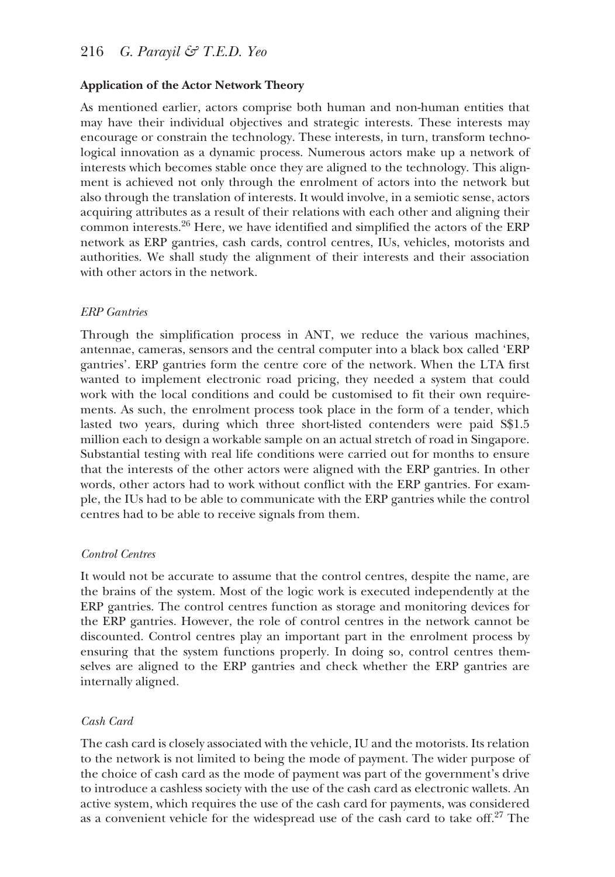## **Application of the Actor Network Theory**

As mentioned earlier, actors comprise both human and non-human entities that may have their individual objectives and strategic interests. These interests may encourage or constrain the technology. These interests, in turn, transform technological innovation as a dynamic process. Numerous actors make up a network of interests which becomes stable once they are aligned to the technology. This alignment is achieved not only through the enrolment of actors into the network but also through the translation of interests. It would involve, in a semiotic sense, actors acquiring attributes as a result of their relations with each other and aligning their common interests.26 Here, we have identified and simplified the actors of the ERP network as ERP gantries, cash cards, control centres, IUs, vehicles, motorists and authorities. We shall study the alignment of their interests and their association with other actors in the network.

## *ERP Gantries*

Through the simplification process in ANT, we reduce the various machines, antennae, cameras, sensors and the central computer into a black box called 'ERP gantries'. ERP gantries form the centre core of the network. When the LTA first wanted to implement electronic road pricing, they needed a system that could work with the local conditions and could be customised to fit their own requirements. As such, the enrolment process took place in the form of a tender, which lasted two years, during which three short-listed contenders were paid S\$1.5 million each to design a workable sample on an actual stretch of road in Singapore. Substantial testing with real life conditions were carried out for months to ensure that the interests of the other actors were aligned with the ERP gantries. In other words, other actors had to work without conflict with the ERP gantries. For example, the IUs had to be able to communicate with the ERP gantries while the control centres had to be able to receive signals from them.

## *Control Centres*

It would not be accurate to assume that the control centres, despite the name, are the brains of the system. Most of the logic work is executed independently at the ERP gantries. The control centres function as storage and monitoring devices for the ERP gantries. However, the role of control centres in the network cannot be discounted. Control centres play an important part in the enrolment process by ensuring that the system functions properly. In doing so, control centres themselves are aligned to the ERP gantries and check whether the ERP gantries are internally aligned.

## *Cash Card*

The cash card is closely associated with the vehicle, IU and the motorists. Its relation to the network is not limited to being the mode of payment. The wider purpose of the choice of cash card as the mode of payment was part of the government's drive to introduce a cashless society with the use of the cash card as electronic wallets. An active system, which requires the use of the cash card for payments, was considered as a convenient vehicle for the widespread use of the cash card to take off.27 The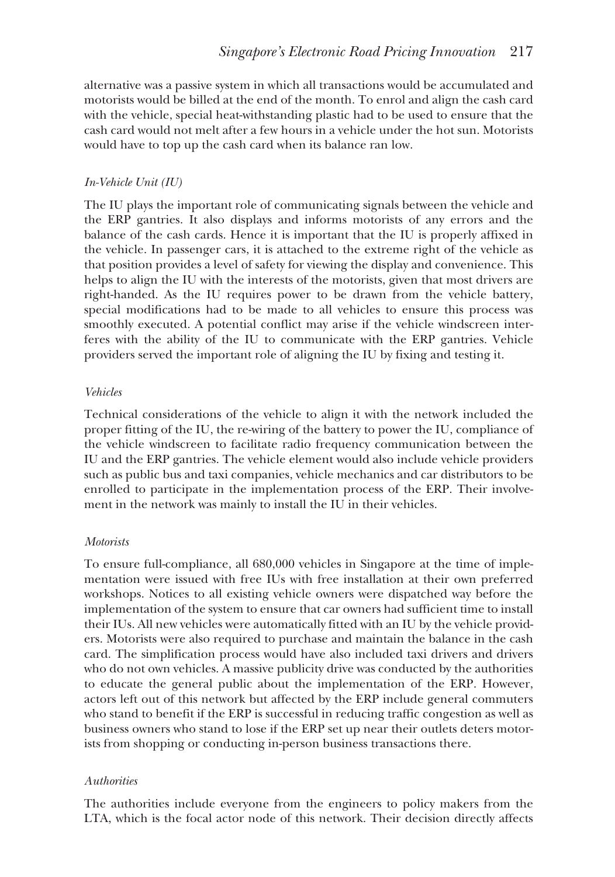alternative was a passive system in which all transactions would be accumulated and motorists would be billed at the end of the month. To enrol and align the cash card with the vehicle, special heat-withstanding plastic had to be used to ensure that the cash card would not melt after a few hours in a vehicle under the hot sun. Motorists would have to top up the cash card when its balance ran low.

## *In-Vehicle Unit (IU)*

The IU plays the important role of communicating signals between the vehicle and the ERP gantries. It also displays and informs motorists of any errors and the balance of the cash cards. Hence it is important that the IU is properly affixed in the vehicle. In passenger cars, it is attached to the extreme right of the vehicle as that position provides a level of safety for viewing the display and convenience. This helps to align the IU with the interests of the motorists, given that most drivers are right-handed. As the IU requires power to be drawn from the vehicle battery, special modifications had to be made to all vehicles to ensure this process was smoothly executed. A potential conflict may arise if the vehicle windscreen interferes with the ability of the IU to communicate with the ERP gantries. Vehicle providers served the important role of aligning the IU by fixing and testing it.

## *Vehicles*

Technical considerations of the vehicle to align it with the network included the proper fitting of the IU, the re-wiring of the battery to power the IU, compliance of the vehicle windscreen to facilitate radio frequency communication between the IU and the ERP gantries. The vehicle element would also include vehicle providers such as public bus and taxi companies, vehicle mechanics and car distributors to be enrolled to participate in the implementation process of the ERP. Their involvement in the network was mainly to install the IU in their vehicles.

## *Motorists*

To ensure full-compliance, all 680,000 vehicles in Singapore at the time of implementation were issued with free IUs with free installation at their own preferred workshops. Notices to all existing vehicle owners were dispatched way before the implementation of the system to ensure that car owners had sufficient time to install their IUs. All new vehicles were automatically fitted with an IU by the vehicle providers. Motorists were also required to purchase and maintain the balance in the cash card. The simplification process would have also included taxi drivers and drivers who do not own vehicles. A massive publicity drive was conducted by the authorities to educate the general public about the implementation of the ERP. However, actors left out of this network but affected by the ERP include general commuters who stand to benefit if the ERP is successful in reducing traffic congestion as well as business owners who stand to lose if the ERP set up near their outlets deters motorists from shopping or conducting in-person business transactions there.

## *Authorities*

The authorities include everyone from the engineers to policy makers from the LTA, which is the focal actor node of this network. Their decision directly affects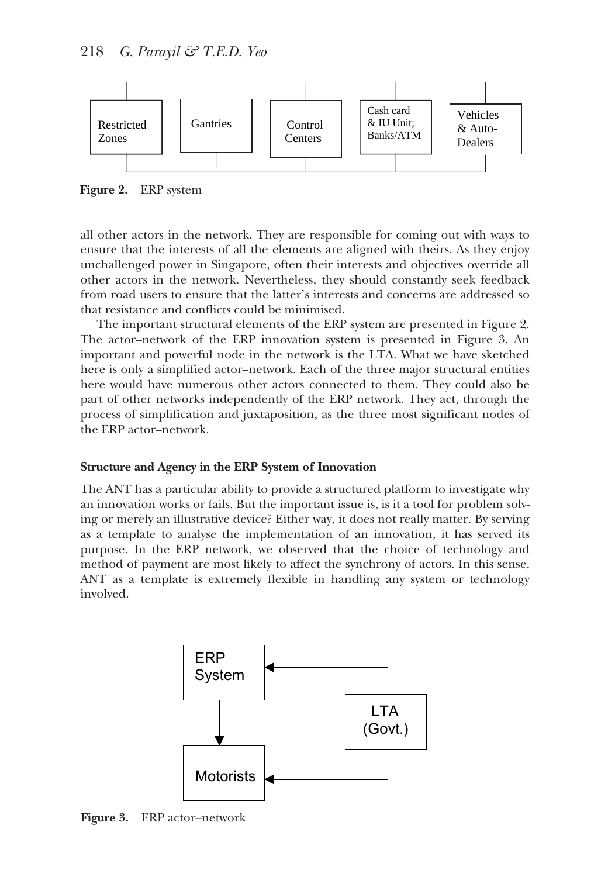

**Figure 2.** ERP system

all other actors in the network. They are responsible for coming out with ways to ensure that the interests of all the elements are aligned with theirs. As they enjoy unchallenged power in Singapore, often their interests and objectives override all other actors in the network. Nevertheless, they should constantly seek feedback from road users to ensure that the latter's interests and concerns are addressed so that resistance and conflicts could be minimised.

The important structural elements of the ERP system are presented in Figure 2. The actor–network of the ERP innovation system is presented in Figure 3. An important and powerful node in the network is the LTA. What we have sketched here is only a simplified actor–network. Each of the three major structural entities here would have numerous other actors connected to them. They could also be part of other networks independently of the ERP network. They act, through the process of simplification and juxtaposition, as the three most significant nodes of the ERP actor–network.

## **Structure and Agency in the ERP System of Innovation**

The ANT has a particular ability to provide a structured platform to investigate why an innovation works or fails. But the important issue is, is it a tool for problem solving or merely an illustrative device? Either way, it does not really matter. By serving as a template to analyse the implementation of an innovation, it has served its purpose. In the ERP network, we observed that the choice of technology and method of payment are most likely to affect the synchrony of actors. In this sense, ANT as a template is extremely flexible in handling any system or technology involved.



**Figure 3.** ERP actor–network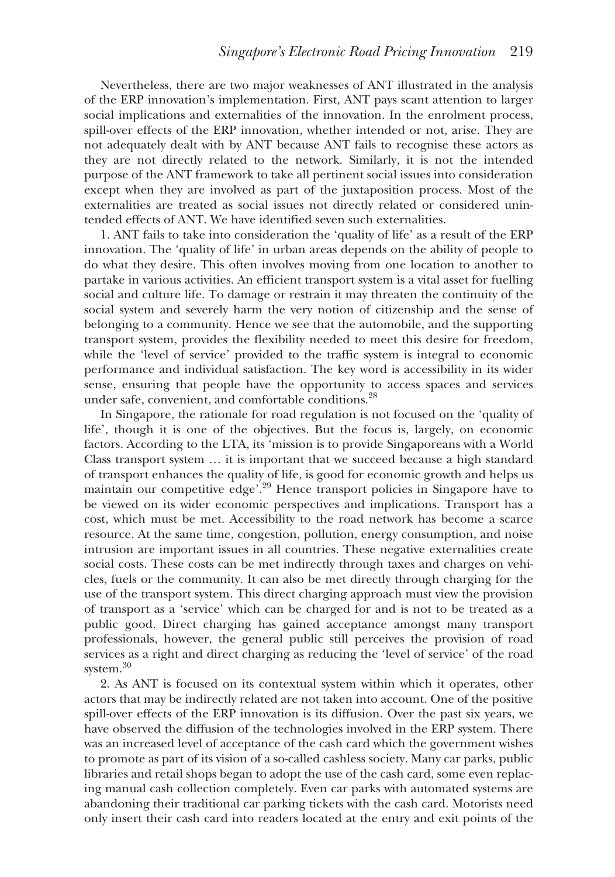Nevertheless, there are two major weaknesses of ANT illustrated in the analysis of the ERP innovation's implementation. First, ANT pays scant attention to larger social implications and externalities of the innovation. In the enrolment process, spill-over effects of the ERP innovation, whether intended or not, arise. They are not adequately dealt with by ANT because ANT fails to recognise these actors as they are not directly related to the network. Similarly, it is not the intended purpose of the ANT framework to take all pertinent social issues into consideration except when they are involved as part of the juxtaposition process. Most of the externalities are treated as social issues not directly related or considered unintended effects of ANT. We have identified seven such externalities.

1. ANT fails to take into consideration the 'quality of life' as a result of the ERP innovation. The 'quality of life' in urban areas depends on the ability of people to do what they desire. This often involves moving from one location to another to partake in various activities. An efficient transport system is a vital asset for fuelling social and culture life. To damage or restrain it may threaten the continuity of the social system and severely harm the very notion of citizenship and the sense of belonging to a community. Hence we see that the automobile, and the supporting transport system, provides the flexibility needed to meet this desire for freedom, while the 'level of service' provided to the traffic system is integral to economic performance and individual satisfaction. The key word is accessibility in its wider sense, ensuring that people have the opportunity to access spaces and services under safe, convenient, and comfortable conditions.28

In Singapore, the rationale for road regulation is not focused on the 'quality of life', though it is one of the objectives. But the focus is, largely, on economic factors. According to the LTA, its 'mission is to provide Singaporeans with a World Class transport system … it is important that we succeed because a high standard of transport enhances the quality of life, is good for economic growth and helps us maintain our competitive edge'.<sup>29</sup> Hence transport policies in Singapore have to be viewed on its wider economic perspectives and implications. Transport has a cost, which must be met. Accessibility to the road network has become a scarce resource. At the same time, congestion, pollution, energy consumption, and noise intrusion are important issues in all countries. These negative externalities create social costs. These costs can be met indirectly through taxes and charges on vehicles, fuels or the community. It can also be met directly through charging for the use of the transport system. This direct charging approach must view the provision of transport as a 'service' which can be charged for and is not to be treated as a public good. Direct charging has gained acceptance amongst many transport professionals, however, the general public still perceives the provision of road services as a right and direct charging as reducing the 'level of service' of the road system.<sup>30</sup>

2. As ANT is focused on its contextual system within which it operates, other actors that may be indirectly related are not taken into account. One of the positive spill-over effects of the ERP innovation is its diffusion. Over the past six years, we have observed the diffusion of the technologies involved in the ERP system. There was an increased level of acceptance of the cash card which the government wishes to promote as part of its vision of a so-called cashless society. Many car parks, public libraries and retail shops began to adopt the use of the cash card, some even replacing manual cash collection completely. Even car parks with automated systems are abandoning their traditional car parking tickets with the cash card. Motorists need only insert their cash card into readers located at the entry and exit points of the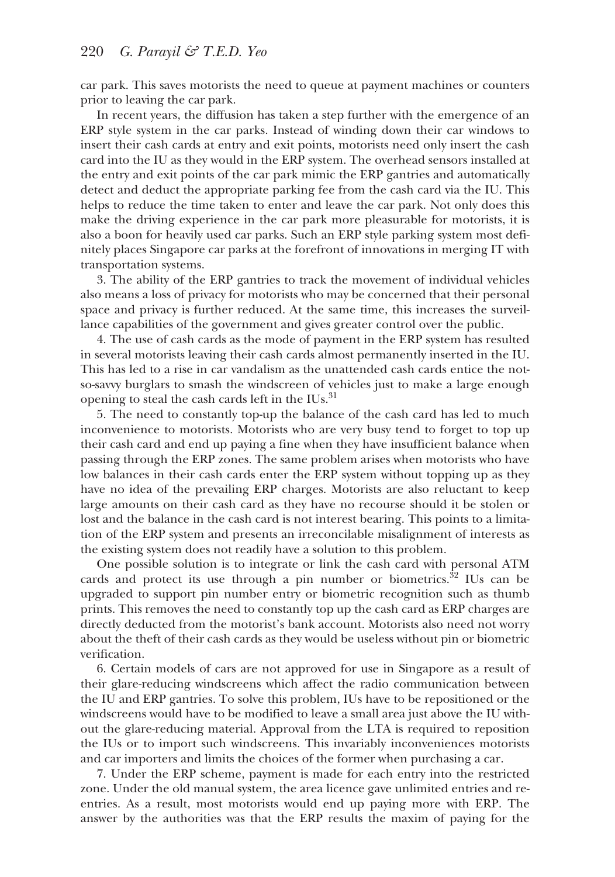car park. This saves motorists the need to queue at payment machines or counters prior to leaving the car park.

In recent years, the diffusion has taken a step further with the emergence of an ERP style system in the car parks. Instead of winding down their car windows to insert their cash cards at entry and exit points, motorists need only insert the cash card into the IU as they would in the ERP system. The overhead sensors installed at the entry and exit points of the car park mimic the ERP gantries and automatically detect and deduct the appropriate parking fee from the cash card via the IU. This helps to reduce the time taken to enter and leave the car park. Not only does this make the driving experience in the car park more pleasurable for motorists, it is also a boon for heavily used car parks. Such an ERP style parking system most definitely places Singapore car parks at the forefront of innovations in merging IT with transportation systems.

3. The ability of the ERP gantries to track the movement of individual vehicles also means a loss of privacy for motorists who may be concerned that their personal space and privacy is further reduced. At the same time, this increases the surveillance capabilities of the government and gives greater control over the public.

4. The use of cash cards as the mode of payment in the ERP system has resulted in several motorists leaving their cash cards almost permanently inserted in the IU. This has led to a rise in car vandalism as the unattended cash cards entice the notso-savvy burglars to smash the windscreen of vehicles just to make a large enough opening to steal the cash cards left in the IUs.<sup>31</sup>

5. The need to constantly top-up the balance of the cash card has led to much inconvenience to motorists. Motorists who are very busy tend to forget to top up their cash card and end up paying a fine when they have insufficient balance when passing through the ERP zones. The same problem arises when motorists who have low balances in their cash cards enter the ERP system without topping up as they have no idea of the prevailing ERP charges. Motorists are also reluctant to keep large amounts on their cash card as they have no recourse should it be stolen or lost and the balance in the cash card is not interest bearing. This points to a limitation of the ERP system and presents an irreconcilable misalignment of interests as the existing system does not readily have a solution to this problem.

One possible solution is to integrate or link the cash card with personal ATM cards and protect its use through a pin number or biometrics.<sup>32</sup> IUs can be upgraded to support pin number entry or biometric recognition such as thumb prints. This removes the need to constantly top up the cash card as ERP charges are directly deducted from the motorist's bank account. Motorists also need not worry about the theft of their cash cards as they would be useless without pin or biometric verification.

6. Certain models of cars are not approved for use in Singapore as a result of their glare-reducing windscreens which affect the radio communication between the IU and ERP gantries. To solve this problem, IUs have to be repositioned or the windscreens would have to be modified to leave a small area just above the IU without the glare-reducing material. Approval from the LTA is required to reposition the IUs or to import such windscreens. This invariably inconveniences motorists and car importers and limits the choices of the former when purchasing a car.

7. Under the ERP scheme, payment is made for each entry into the restricted zone. Under the old manual system, the area licence gave unlimited entries and reentries. As a result, most motorists would end up paying more with ERP. The answer by the authorities was that the ERP results the maxim of paying for the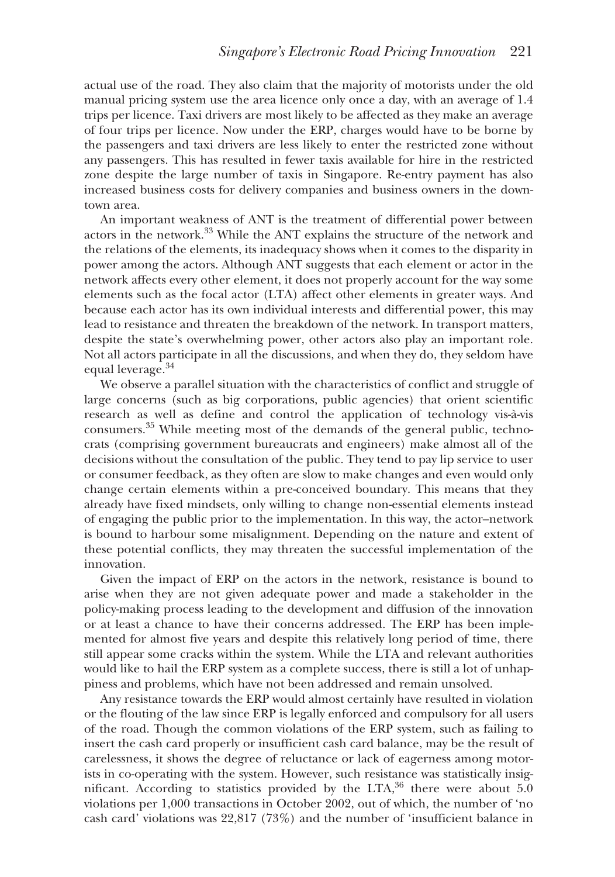actual use of the road. They also claim that the majority of motorists under the old manual pricing system use the area licence only once a day, with an average of 1.4 trips per licence. Taxi drivers are most likely to be affected as they make an average of four trips per licence. Now under the ERP, charges would have to be borne by the passengers and taxi drivers are less likely to enter the restricted zone without any passengers. This has resulted in fewer taxis available for hire in the restricted zone despite the large number of taxis in Singapore. Re-entry payment has also increased business costs for delivery companies and business owners in the downtown area.

An important weakness of ANT is the treatment of differential power between actors in the network.33 While the ANT explains the structure of the network and the relations of the elements, its inadequacy shows when it comes to the disparity in power among the actors. Although ANT suggests that each element or actor in the network affects every other element, it does not properly account for the way some elements such as the focal actor (LTA) affect other elements in greater ways. And because each actor has its own individual interests and differential power, this may lead to resistance and threaten the breakdown of the network. In transport matters, despite the state's overwhelming power, other actors also play an important role. Not all actors participate in all the discussions, and when they do, they seldom have equal leverage.<sup>34</sup>

We observe a parallel situation with the characteristics of conflict and struggle of large concerns (such as big corporations, public agencies) that orient scientific research as well as define and control the application of technology vis-à-vis consumers.<sup>35</sup> While meeting most of the demands of the general public, technocrats (comprising government bureaucrats and engineers) make almost all of the decisions without the consultation of the public. They tend to pay lip service to user or consumer feedback, as they often are slow to make changes and even would only change certain elements within a pre-conceived boundary. This means that they already have fixed mindsets, only willing to change non-essential elements instead of engaging the public prior to the implementation. In this way, the actor–network is bound to harbour some misalignment. Depending on the nature and extent of these potential conflicts, they may threaten the successful implementation of the innovation.

Given the impact of ERP on the actors in the network, resistance is bound to arise when they are not given adequate power and made a stakeholder in the policy-making process leading to the development and diffusion of the innovation or at least a chance to have their concerns addressed. The ERP has been implemented for almost five years and despite this relatively long period of time, there still appear some cracks within the system. While the LTA and relevant authorities would like to hail the ERP system as a complete success, there is still a lot of unhappiness and problems, which have not been addressed and remain unsolved.

Any resistance towards the ERP would almost certainly have resulted in violation or the flouting of the law since ERP is legally enforced and compulsory for all users of the road. Though the common violations of the ERP system, such as failing to insert the cash card properly or insufficient cash card balance, may be the result of carelessness, it shows the degree of reluctance or lack of eagerness among motorists in co-operating with the system. However, such resistance was statistically insignificant. According to statistics provided by the LTA, $36$  there were about 5.0 violations per 1,000 transactions in October 2002, out of which, the number of 'no cash card' violations was 22,817 (73%) and the number of 'insufficient balance in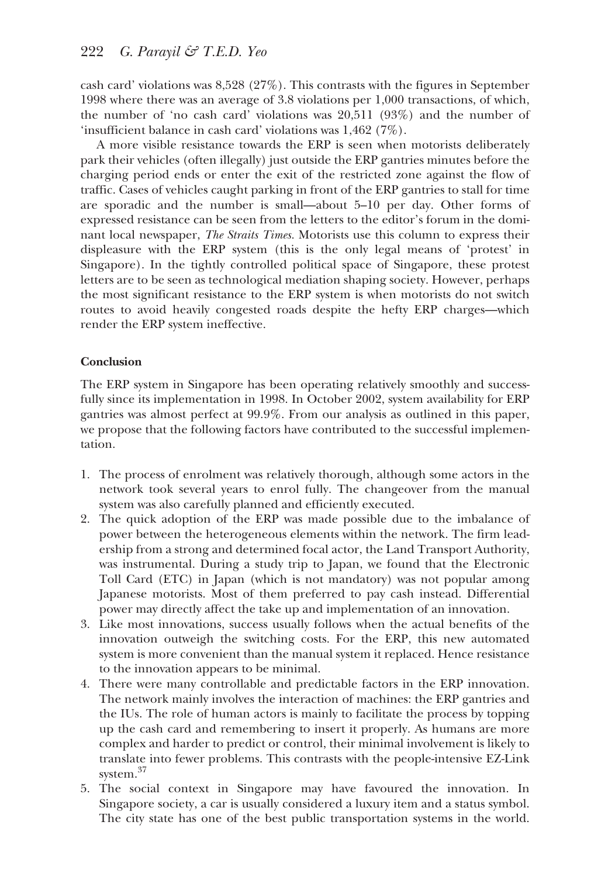cash card' violations was 8,528 (27%). This contrasts with the figures in September 1998 where there was an average of 3.8 violations per 1,000 transactions, of which, the number of 'no cash card' violations was 20,511 (93%) and the number of 'insufficient balance in cash card' violations was 1,462 (7%).

A more visible resistance towards the ERP is seen when motorists deliberately park their vehicles (often illegally) just outside the ERP gantries minutes before the charging period ends or enter the exit of the restricted zone against the flow of traffic. Cases of vehicles caught parking in front of the ERP gantries to stall for time are sporadic and the number is small—about 5–10 per day. Other forms of expressed resistance can be seen from the letters to the editor's forum in the dominant local newspaper, *The Straits Times.* Motorists use this column to express their displeasure with the ERP system (this is the only legal means of 'protest' in Singapore). In the tightly controlled political space of Singapore, these protest letters are to be seen as technological mediation shaping society. However, perhaps the most significant resistance to the ERP system is when motorists do not switch routes to avoid heavily congested roads despite the hefty ERP charges—which render the ERP system ineffective.

## **Conclusion**

The ERP system in Singapore has been operating relatively smoothly and successfully since its implementation in 1998. In October 2002, system availability for ERP gantries was almost perfect at 99.9%. From our analysis as outlined in this paper, we propose that the following factors have contributed to the successful implementation.

- 1. The process of enrolment was relatively thorough, although some actors in the network took several years to enrol fully. The changeover from the manual system was also carefully planned and efficiently executed.
- 2. The quick adoption of the ERP was made possible due to the imbalance of power between the heterogeneous elements within the network. The firm leadership from a strong and determined focal actor, the Land Transport Authority, was instrumental. During a study trip to Japan, we found that the Electronic Toll Card (ETC) in Japan (which is not mandatory) was not popular among Japanese motorists. Most of them preferred to pay cash instead. Differential power may directly affect the take up and implementation of an innovation.
- 3. Like most innovations, success usually follows when the actual benefits of the innovation outweigh the switching costs. For the ERP, this new automated system is more convenient than the manual system it replaced. Hence resistance to the innovation appears to be minimal.
- 4. There were many controllable and predictable factors in the ERP innovation. The network mainly involves the interaction of machines: the ERP gantries and the IUs. The role of human actors is mainly to facilitate the process by topping up the cash card and remembering to insert it properly. As humans are more complex and harder to predict or control, their minimal involvement is likely to translate into fewer problems. This contrasts with the people-intensive EZ-Link system.<sup>37</sup>
- 5. The social context in Singapore may have favoured the innovation. In Singapore society, a car is usually considered a luxury item and a status symbol. The city state has one of the best public transportation systems in the world.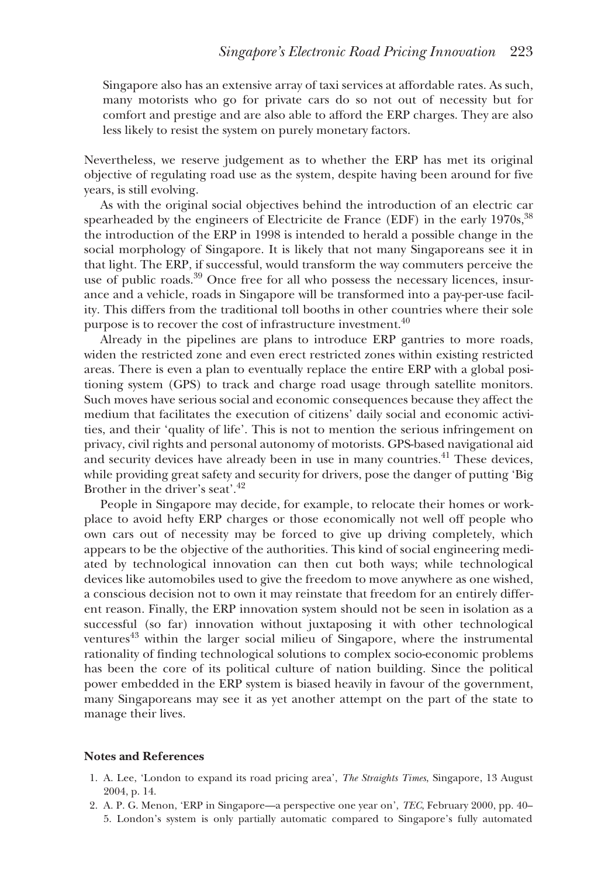Singapore also has an extensive array of taxi services at affordable rates. As such, many motorists who go for private cars do so not out of necessity but for comfort and prestige and are also able to afford the ERP charges. They are also less likely to resist the system on purely monetary factors.

Nevertheless, we reserve judgement as to whether the ERP has met its original objective of regulating road use as the system, despite having been around for five years, is still evolving.

As with the original social objectives behind the introduction of an electric car spearheaded by the engineers of Electricite de France (EDF) in the early 1970s,<sup>38</sup> the introduction of the ERP in 1998 is intended to herald a possible change in the social morphology of Singapore. It is likely that not many Singaporeans see it in that light. The ERP, if successful, would transform the way commuters perceive the use of public roads.<sup>39</sup> Once free for all who possess the necessary licences, insurance and a vehicle, roads in Singapore will be transformed into a pay-per-use facility. This differs from the traditional toll booths in other countries where their sole purpose is to recover the cost of infrastructure investment.<sup>40</sup>

Already in the pipelines are plans to introduce ERP gantries to more roads, widen the restricted zone and even erect restricted zones within existing restricted areas. There is even a plan to eventually replace the entire ERP with a global positioning system (GPS) to track and charge road usage through satellite monitors. Such moves have serious social and economic consequences because they affect the medium that facilitates the execution of citizens' daily social and economic activities, and their 'quality of life'. This is not to mention the serious infringement on privacy, civil rights and personal autonomy of motorists. GPS-based navigational aid and security devices have already been in use in many countries.<sup>41</sup> These devices, while providing great safety and security for drivers, pose the danger of putting 'Big Brother in the driver's seat'.42

People in Singapore may decide, for example, to relocate their homes or workplace to avoid hefty ERP charges or those economically not well off people who own cars out of necessity may be forced to give up driving completely, which appears to be the objective of the authorities. This kind of social engineering mediated by technological innovation can then cut both ways; while technological devices like automobiles used to give the freedom to move anywhere as one wished, a conscious decision not to own it may reinstate that freedom for an entirely different reason. Finally, the ERP innovation system should not be seen in isolation as a successful (so far) innovation without juxtaposing it with other technological ventures<sup>43</sup> within the larger social milieu of Singapore, where the instrumental rationality of finding technological solutions to complex socio-economic problems has been the core of its political culture of nation building. Since the political power embedded in the ERP system is biased heavily in favour of the government, many Singaporeans may see it as yet another attempt on the part of the state to manage their lives.

#### **Notes and References**

- 1. A. Lee, 'London to expand its road pricing area', *The Straights Times*, Singapore, 13 August 2004, p. 14.
- 2. A. P. G. Menon, 'ERP in Singapore—a perspective one year on', *TEC*, February 2000, pp. 40– 5. London's system is only partially automatic compared to Singapore's fully automated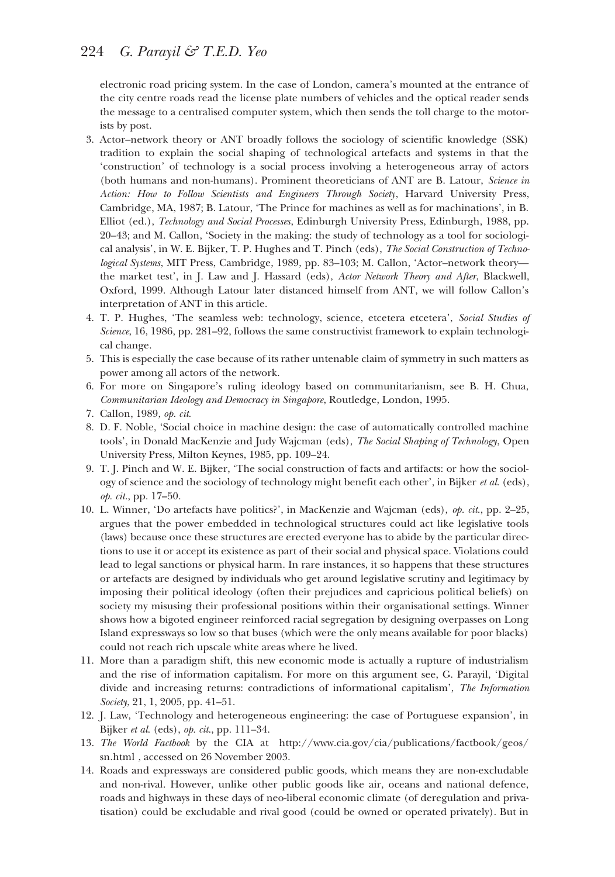electronic road pricing system. In the case of London, camera's mounted at the entrance of the city centre roads read the license plate numbers of vehicles and the optical reader sends the message to a centralised computer system, which then sends the toll charge to the motorists by post.

- 3. Actor–network theory or ANT broadly follows the sociology of scientific knowledge (SSK) tradition to explain the social shaping of technological artefacts and systems in that the 'construction' of technology is a social process involving a heterogeneous array of actors (both humans and non-humans). Prominent theoreticians of ANT are B. Latour, *Science in Action: How to Follow Scientists and Engineers Through Society*, Harvard University Press, Cambridge, MA, 1987; B. Latour, 'The Prince for machines as well as for machinations', in B. Elliot (ed.), *Technology and Social Processes*, Edinburgh University Press, Edinburgh, 1988, pp. 20–43; and M. Callon, 'Society in the making: the study of technology as a tool for sociological analysis', in W. E. Bijker, T. P. Hughes and T. Pinch (eds), *The Social Construction of Technological Systems*, MIT Press, Cambridge, 1989, pp. 83–103; M. Callon, 'Actor–network theory the market test', in J. Law and J. Hassard (eds), *Actor Network Theory and After*, Blackwell, Oxford, 1999. Although Latour later distanced himself from ANT, we will follow Callon's interpretation of ANT in this article.
- 4. T. P. Hughes, 'The seamless web: technology, science, etcetera etcetera', *Social Studies of Science*, 16, 1986, pp. 281–92, follows the same constructivist framework to explain technological change.
- 5. This is especially the case because of its rather untenable claim of symmetry in such matters as power among all actors of the network.
- 6. For more on Singapore's ruling ideology based on communitarianism, see B. H. Chua, *Communitarian Ideology and Democracy in Singapore*, Routledge, London, 1995.
- 7. Callon, 1989, *op. cit*.
- 8. D. F. Noble, 'Social choice in machine design: the case of automatically controlled machine tools', in Donald MacKenzie and Judy Wajcman (eds), *The Social Shaping of Technology*, Open University Press, Milton Keynes, 1985, pp. 109–24.
- 9. T. J. Pinch and W. E. Bijker, 'The social construction of facts and artifacts: or how the sociology of science and the sociology of technology might benefit each other', in Bijker *et al*. (eds), *op. cit*., pp. 17–50.
- 10. L. Winner, 'Do artefacts have politics?', in MacKenzie and Wajcman (eds), *op. cit*., pp. 2–25, argues that the power embedded in technological structures could act like legislative tools (laws) because once these structures are erected everyone has to abide by the particular directions to use it or accept its existence as part of their social and physical space. Violations could lead to legal sanctions or physical harm. In rare instances, it so happens that these structures or artefacts are designed by individuals who get around legislative scrutiny and legitimacy by imposing their political ideology (often their prejudices and capricious political beliefs) on society my misusing their professional positions within their organisational settings. Winner shows how a bigoted engineer reinforced racial segregation by designing overpasses on Long Island expressways so low so that buses (which were the only means available for poor blacks) could not reach rich upscale white areas where he lived.
- 11. More than a paradigm shift, this new economic mode is actually a rupture of industrialism and the rise of information capitalism. For more on this argument see, G. Parayil, 'Digital divide and increasing returns: contradictions of informational capitalism', *The Information Society*, 21, 1, 2005, pp. 41–51.
- 12. J. Law, 'Technology and heterogeneous engineering: the case of Portuguese expansion', in Bijker *et al*. (eds), *op. cit*., pp. 111–34.
- 13. *The World Factbook* by the CIA at 〈http://www.cia.gov/cia/publications/factbook/geos/ sn.html〉, accessed on 26 November 2003.
- 14. Roads and expressways are considered public goods, which means they are non-excludable and non-rival. However, unlike other public goods like air, oceans and national defence, roads and highways in these days of neo-liberal economic climate (of deregulation and privatisation) could be excludable and rival good (could be owned or operated privately). But in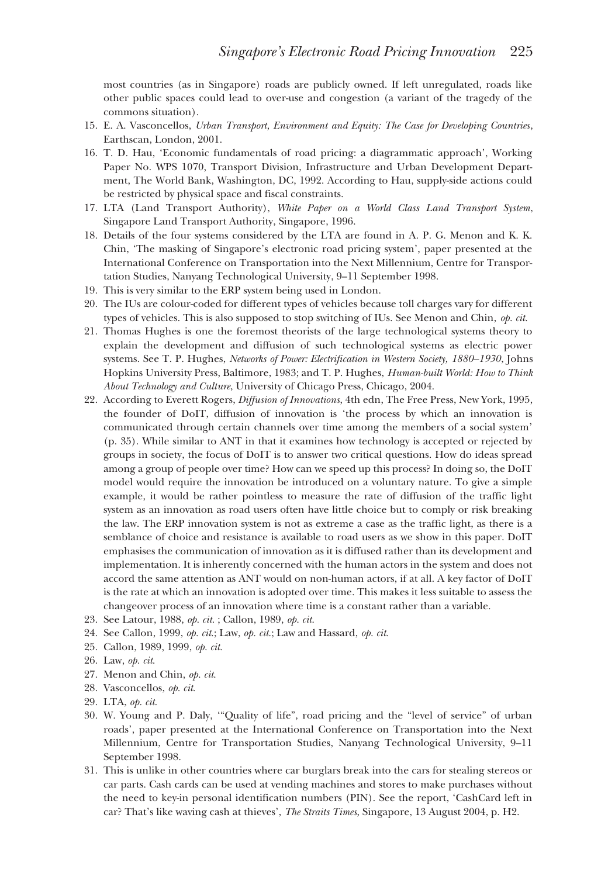most countries (as in Singapore) roads are publicly owned. If left unregulated, roads like other public spaces could lead to over-use and congestion (a variant of the tragedy of the commons situation).

- 15. E. A. Vasconcellos, *Urban Transport, Environment and Equity: The Case for Developing Countries*, Earthscan, London, 2001.
- 16. T. D. Hau, 'Economic fundamentals of road pricing: a diagrammatic approach', Working Paper No. WPS 1070, Transport Division, Infrastructure and Urban Development Department, The World Bank, Washington, DC, 1992. According to Hau, supply-side actions could be restricted by physical space and fiscal constraints.
- 17. LTA (Land Transport Authority), *White Paper on a World Class Land Transport System*, Singapore Land Transport Authority, Singapore, 1996.
- 18. Details of the four systems considered by the LTA are found in A. P. G. Menon and K. K. Chin, 'The masking of Singapore's electronic road pricing system', paper presented at the International Conference on Transportation into the Next Millennium, Centre for Transportation Studies, Nanyang Technological University, 9–11 September 1998.
- 19. This is very similar to the ERP system being used in London.
- 20. The IUs are colour-coded for different types of vehicles because toll charges vary for different types of vehicles. This is also supposed to stop switching of IUs. See Menon and Chin, *op. cit*.
- 21. Thomas Hughes is one the foremost theorists of the large technological systems theory to explain the development and diffusion of such technological systems as electric power systems. See T. P. Hughes, *Networks of Power: Electrification in Western Society, 1880–1930*, Johns Hopkins University Press, Baltimore, 1983; and T. P. Hughes, *Human-built World: How to Think About Technology and Culture*, University of Chicago Press, Chicago, 2004.
- 22. According to Everett Rogers, *Diffusion of Innovations*, 4th edn, The Free Press, New York, 1995, the founder of DoIT, diffusion of innovation is 'the process by which an innovation is communicated through certain channels over time among the members of a social system' (p. 35). While similar to ANT in that it examines how technology is accepted or rejected by groups in society, the focus of DoIT is to answer two critical questions. How do ideas spread among a group of people over time? How can we speed up this process? In doing so, the DoIT model would require the innovation be introduced on a voluntary nature. To give a simple example, it would be rather pointless to measure the rate of diffusion of the traffic light system as an innovation as road users often have little choice but to comply or risk breaking the law. The ERP innovation system is not as extreme a case as the traffic light, as there is a semblance of choice and resistance is available to road users as we show in this paper. DoIT emphasises the communication of innovation as it is diffused rather than its development and implementation. It is inherently concerned with the human actors in the system and does not accord the same attention as ANT would on non-human actors, if at all. A key factor of DoIT is the rate at which an innovation is adopted over time. This makes it less suitable to assess the changeover process of an innovation where time is a constant rather than a variable.
- 23. See Latour, 1988, *op. cit*. ; Callon, 1989, *op. cit*.
- 24. See Callon, 1999, *op. cit*.; Law, *op. cit*.; Law and Hassard, *op. cit*.
- 25. Callon, 1989, 1999, *op. cit*.
- 26. Law, *op. cit*.
- 27. Menon and Chin, *op. cit*.
- 28. Vasconcellos, *op. cit*.
- 29. LTA, *op. cit*.
- 30. W. Young and P. Daly, '"Quality of life", road pricing and the "level of service" of urban roads', paper presented at the International Conference on Transportation into the Next Millennium, Centre for Transportation Studies, Nanyang Technological University, 9–11 September 1998.
- 31. This is unlike in other countries where car burglars break into the cars for stealing stereos or car parts. Cash cards can be used at vending machines and stores to make purchases without the need to key-in personal identification numbers (PIN). See the report, 'CashCard left in car? That's like waving cash at thieves', *The Straits Times*, Singapore, 13 August 2004, p. H2.